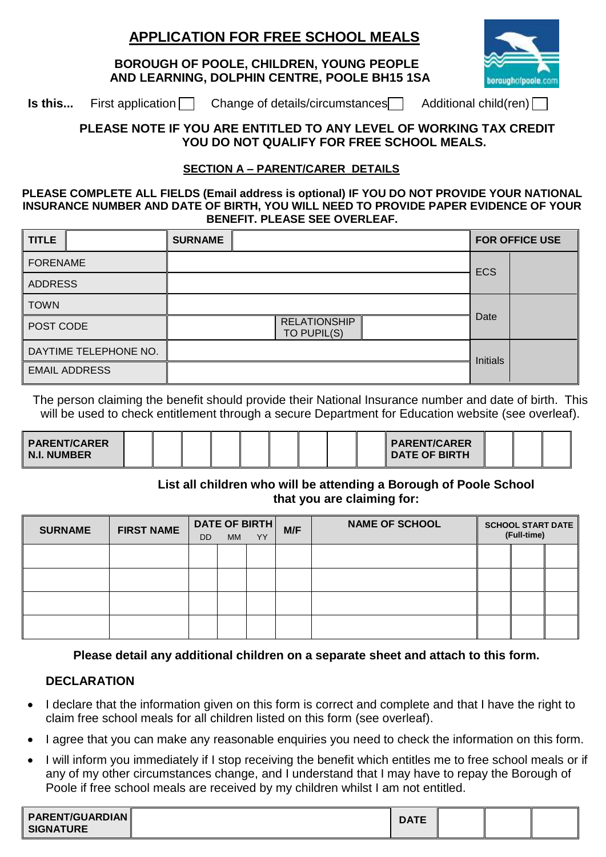# **APPLICATION FOR FREE SCHOOL MEALS**

 **BOROUGH OF POOLE, CHILDREN, YOUNG PEOPLE AND LEARNING, DOLPHIN CENTRE, POOLE BH15 1SA**



**Is this...** First application **Change of details/circumstances** Additional child(ren)

### **PLEASE NOTE IF YOU ARE ENTITLED TO ANY LEVEL OF WORKING TAX CREDIT YOU DO NOT QUALIFY FOR FREE SCHOOL MEALS.**

## **SECTION A – PARENT/CARER DETAILS**

#### **PLEASE COMPLETE ALL FIELDS (Email address is optional) IF YOU DO NOT PROVIDE YOUR NATIONAL INSURANCE NUMBER AND DATE OF BIRTH, YOU WILL NEED TO PROVIDE PAPER EVIDENCE OF YOUR BENEFIT. PLEASE SEE OVERLEAF.**

| <b>TITLE</b>          |  | <b>SURNAME</b>                     |                 |  |  |  | <b>FOR OFFICE USE</b> |
|-----------------------|--|------------------------------------|-----------------|--|--|--|-----------------------|
| <b>FORENAME</b>       |  |                                    | <b>ECS</b>      |  |  |  |                       |
| <b>ADDRESS</b>        |  |                                    |                 |  |  |  |                       |
| <b>TOWN</b>           |  |                                    | Date            |  |  |  |                       |
| POST CODE             |  | <b>RELATIONSHIP</b><br>TO PUPIL(S) |                 |  |  |  |                       |
| DAYTIME TELEPHONE NO. |  |                                    | <b>Initials</b> |  |  |  |                       |
| <b>EMAIL ADDRESS</b>  |  |                                    |                 |  |  |  |                       |

The person claiming the benefit should provide their National Insurance number and date of birth. This will be used to check entitlement through a secure Department for Education website (see overleaf).

| PARENT/CARER<br>$\parallel$ N.I. NUMBER $\parallel$ |  |  |  |  |  |  |  |  |  | PARENT/CARER<br><b>I DATE OF BIRTH</b> |  |  |  |
|-----------------------------------------------------|--|--|--|--|--|--|--|--|--|----------------------------------------|--|--|--|
|-----------------------------------------------------|--|--|--|--|--|--|--|--|--|----------------------------------------|--|--|--|

### **List all children who will be attending a Borough of Poole School that you are claiming for:**

| <b>SURNAME</b> | <b>FIRST NAME</b> | DATE OF BIRTH<br><b>YY</b><br><b>MM</b><br><b>DD</b> |  | M/F | <b>NAME OF SCHOOL</b> | <b>SCHOOL START DATE</b><br>(Full-time) |  |  |  |
|----------------|-------------------|------------------------------------------------------|--|-----|-----------------------|-----------------------------------------|--|--|--|
|                |                   |                                                      |  |     |                       |                                         |  |  |  |
|                |                   |                                                      |  |     |                       |                                         |  |  |  |
|                |                   |                                                      |  |     |                       |                                         |  |  |  |
|                |                   |                                                      |  |     |                       |                                         |  |  |  |

### **Please detail any additional children on a separate sheet and attach to this form.**

### **DECLARATION**

- I declare that the information given on this form is correct and complete and that I have the right to claim free school meals for all children listed on this form (see overleaf).
- I agree that you can make any reasonable enquiries you need to check the information on this form.
- I will inform you immediately if I stop receiving the benefit which entitles me to free school meals or if any of my other circumstances change, and I understand that I may have to repay the Borough of Poole if free school meals are received by my children whilst I am not entitled.

| <b>PARENT/GUARDIAN</b><br><b>SIGNATURE</b> | <b>DATE</b> |  |  |
|--------------------------------------------|-------------|--|--|
|                                            |             |  |  |